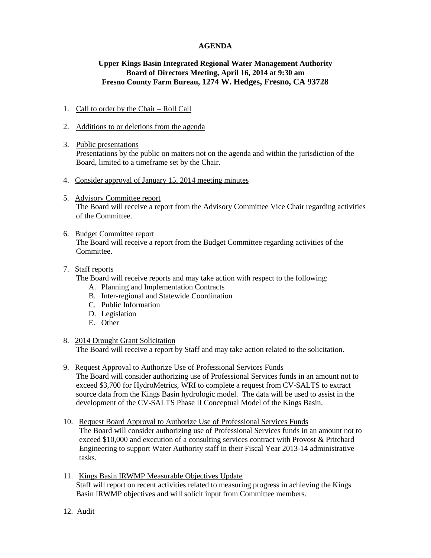### **AGENDA**

# **Upper Kings Basin Integrated Regional Water Management Authority Board of Directors Meeting, April 16, 2014 at 9:30 am Fresno County Farm Bureau, 1274 W. Hedges, Fresno, CA 93728**

### 1. Call to order by the Chair – Roll Call

#### 2. Additions to or deletions from the agenda

- 3. Public presentations Presentations by the public on matters not on the agenda and within the jurisdiction of the Board, limited to a timeframe set by the Chair.
- 4. Consider approval of January 15, 2014 meeting minutes
- 5. Advisory Committee report The Board will receive a report from the Advisory Committee Vice Chair regarding activities of the Committee.

#### 6. Budget Committee report

The Board will receive a report from the Budget Committee regarding activities of the Committee.

#### 7. Staff reports

The Board will receive reports and may take action with respect to the following:

- A. Planning and Implementation Contracts
- B. Inter-regional and Statewide Coordination
- C. Public Information
- D. Legislation
- E. Other

#### 8. 2014 Drought Grant Solicitation

The Board will receive a report by Staff and may take action related to the solicitation.

9. Request Approval to Authorize Use of Professional Services Funds

The Board will consider authorizing use of Professional Services funds in an amount not to exceed \$3,700 for HydroMetrics, WRI to complete a request from CV-SALTS to extract source data from the Kings Basin hydrologic model. The data will be used to assist in the development of the CV-SALTS Phase II Conceptual Model of the Kings Basin.

- 10. Request Board Approval to Authorize Use of Professional Services Funds The Board will consider authorizing use of Professional Services funds in an amount not to exceed \$10,000 and execution of a consulting services contract with Provost & Pritchard Engineering to support Water Authority staff in their Fiscal Year 2013-14 administrative tasks.
- 11. Kings Basin IRWMP Measurable Objectives Update Staff will report on recent activities related to measuring progress in achieving the Kings Basin IRWMP objectives and will solicit input from Committee members.
- 12. Audit